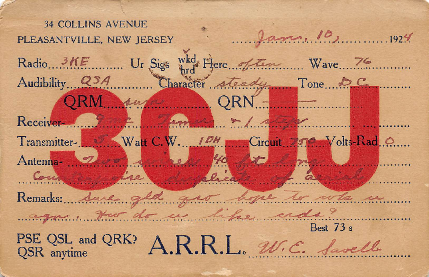| <b>34 COLLINS AVENUE</b><br>Jan. 10, 1924<br>PLEASANTVILLE, NEW JERSEY                     |
|--------------------------------------------------------------------------------------------|
| Radio 3KE Ur Sigs what Flere of ten Wave 76<br>Audibility QSA Character steady Tone DC     |
| QRM en QRN                                                                                 |
| Receiver 2 fun 4m + 1 and +<br>Transmitter- William Watt C.W. 10H Circuit 750 Volts-Rad O. |
| Antenna 200 le 40 to 1 m<br>Comme lie Melicate de la fine                                  |
| Remarks: Sure gld gro ligne to who is<br>again there do us like cross?                     |
| Best 73 s<br>PSE QSL and QRK? A.R.R.L. W.C. favell                                         |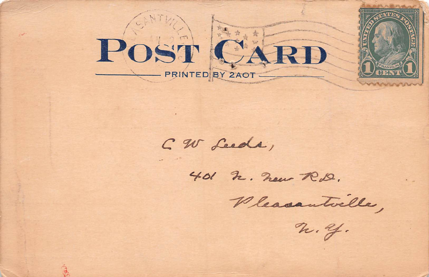

CW Leeds,

401 h. new RD.

Vleasantville,

 $n.4.$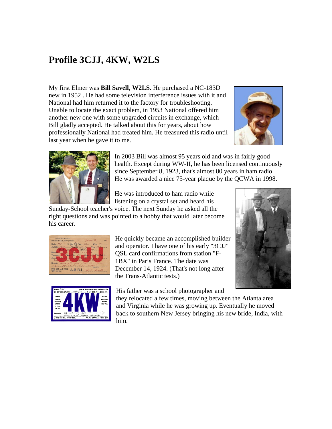## **Profile 3CJJ, 4KW, W2LS**

My first Elmer was **Bill Savell, W2LS**. He purchased a NC-183D new in 1952 . He had some television interference issues with it and National had him returned it to the factory for troubleshooting. Unable to locate the exact problem, in 1953 National offered him another new one with some upgraded circuits in exchange, which Bill gladly accepted. He talked about this for years, about how professionally National had treated him. He treasured this radio until last year when he gave it to me.





In 2003 Bill was almost 95 years old and was in fairly good health. Except during WW-II, he has been licensed continuously since September 8, 1923, that's almost 80 years in ham radio. He was awarded a nice 75-year plaque by the QCWA in 1998.

He was introduced to ham radio while listening on a crystal set and heard his

Sunday-School teacher's voice. The next Sunday he asked all the right questions and was pointed to a hobby that would later become his career.



and operator. I have one of his early "3CJJ" QSL card confirmations from station "F-1BX" in Paris France. The date was December 14, 1924. (That's not long after the Trans-Atlantic tests.)



His father was a school photographer and

they relocated a few times, moving between the Atlanta area and Virginia while he was growing up. Eventually he moved back to southern New Jersey bringing his new bride, India, with him.

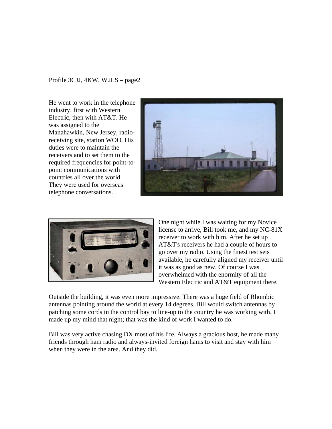Profile 3CJJ, 4KW, W2LS – page2

He went to work in the telephone industry, first with Western Electric, then with AT&T. He was assigned to the Manahawkin, New Jersey, radioreceiving site, station WOO. His duties were to maintain the receivers and to set them to the required frequenci es for point-topoint communications with countries all over the world. They were used for overseas telephone conve rsations.





One night while I was waiting for my Novice license to arrive, Bill took me, and my NC-81X receiver to work with him. After he set up AT&T's receivers he had a couple of hours to go over my radio. Using the finest test sets available, he carefully aligned my receiver until it was as good as new. Of course I was overwhelmed with the enormity of all the Western Electric and AT&T equipment there.

Outside the building, it was even more impressive. There was a huge field of Rhombic antennas pointing around the world at every 14 degrees. Bill would switch antennas by patching some cords in the control bay to line-up to the country he was working with. I made up my mind that night; that was the kind of work I wanted to do.

Bill was very active chasing DX most of his life. Always a gracious host, he made many friends through ham radio and always-invited foreign hams to visit and stay with him when they were in the area. And they did.